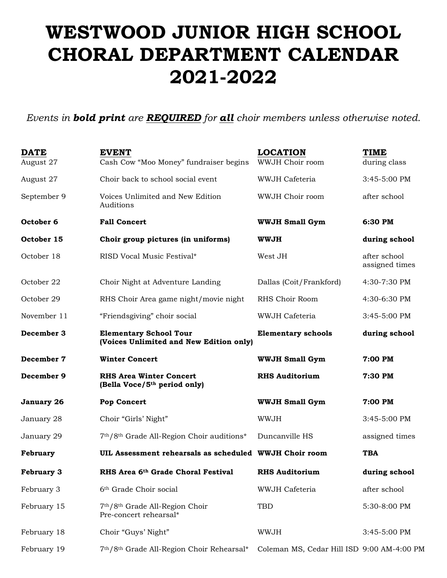## **WESTWOOD JUNIOR HIGH SCHOOL CHORAL DEPARTMENT CALENDAR 2021-2022**

*Events in bold print are REQUIRED for all choir members unless otherwise noted.*

| <b>DATE</b><br>August 27 | <b>EVENT</b><br>Cash Cow "Moo Money" fundraiser begins                     | <b>LOCATION</b><br>WWJH Choir room | TIME<br>during class           |
|--------------------------|----------------------------------------------------------------------------|------------------------------------|--------------------------------|
| August 27                | Choir back to school social event                                          | WWJH Cafeteria                     | 3:45-5:00 PM                   |
| September 9              | Voices Unlimited and New Edition<br>Auditions                              | WWJH Choir room                    | after school                   |
| October <sub>6</sub>     | <b>Fall Concert</b>                                                        | <b>WWJH Small Gym</b>              | 6:30 PM                        |
| October 15               | Choir group pictures (in uniforms)                                         | <b>WWJH</b>                        | during school                  |
| October 18               | RISD Vocal Music Festival*                                                 | West JH                            | after school<br>assigned times |
| October 22               | Choir Night at Adventure Landing                                           | Dallas (Coit/Frankford)            | 4:30-7:30 PM                   |
| October 29               | RHS Choir Area game night/movie night                                      | RHS Choir Room                     | 4:30-6:30 PM                   |
| November 11              | "Friendsgiving" choir social                                               | WWJH Cafeteria                     | 3:45-5:00 PM                   |
| December 3               | <b>Elementary School Tour</b><br>(Voices Unlimited and New Edition only)   | <b>Elementary schools</b>          | during school                  |
| December 7               | <b>Winter Concert</b>                                                      | <b>WWJH Small Gym</b>              | 7:00 PM                        |
| December 9               | <b>RHS Area Winter Concert</b><br>(Bella Voce/5 <sup>th</sup> period only) | <b>RHS Auditorium</b>              | 7:30 PM                        |
|                          |                                                                            |                                    |                                |
| January 26               | <b>Pop Concert</b>                                                         | <b>WWJH Small Gym</b>              | 7:00 PM                        |
| January 28               | Choir "Girls' Night"                                                       | <b>WWJH</b>                        | $3:45-5:00$ PM                 |
| January 29               | 7th/8th Grade All-Region Choir auditions*                                  | Duncanville HS                     | assigned times                 |
| February                 | UIL Assessment rehearsals as scheduled WWJH Choir room                     |                                    | <b>TBA</b>                     |
| <b>February 3</b>        | RHS Area 6th Grade Choral Festival                                         | <b>RHS Auditorium</b>              | during school                  |
| February 3               | 6th Grade Choir social                                                     | WWJH Cafeteria                     | after school                   |
| February 15              | 7th/8th Grade All-Region Choir<br>Pre-concert rehearsal*                   | TBD                                | 5:30-8:00 PM                   |
| February 18              | Choir "Guys' Night"                                                        | WWJH                               | 3:45-5:00 PM                   |